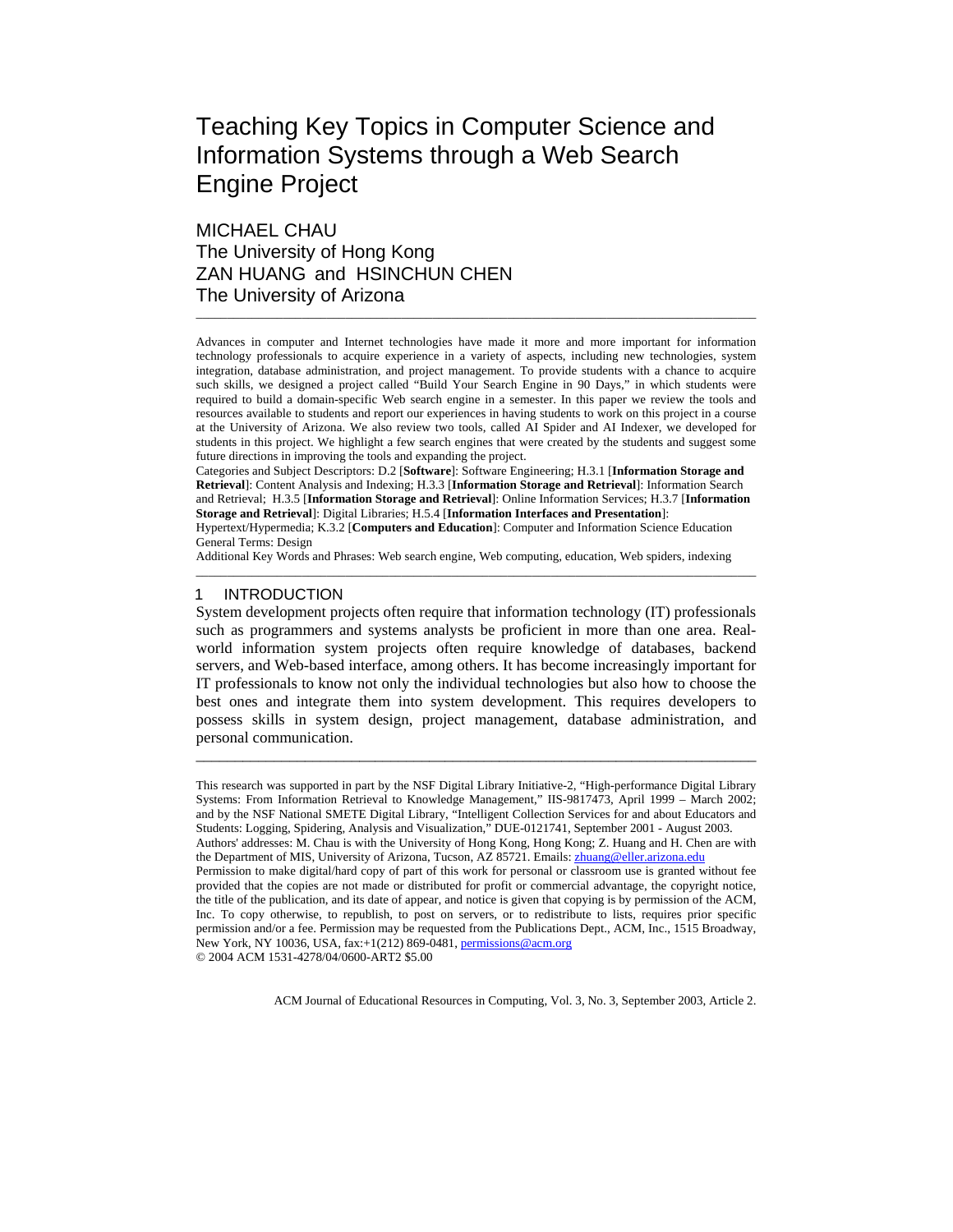# Teaching Key Topics in Computer Science and Information Systems through a Web Search Engine Project

## MICHAEL CHAU The University of Hong Kong ZAN HUANG and HSINCHUN CHEN The University of Arizona

Advances in computer and Internet technologies have made it more and more important for information technology professionals to acquire experience in a variety of aspects, including new technologies, system integration, database administration, and project management. To provide students with a chance to acquire such skills, we designed a project called "Build Your Search Engine in 90 Days," in which students were required to build a domain-specific Web search engine in a semester. In this paper we review the tools and resources available to students and report our experiences in having students to work on this project in a course at the University of Arizona. We also review two tools, called AI Spider and AI Indexer, we developed for students in this project. We highlight a few search engines that were created by the students and suggest some future directions in improving the tools and expanding the project.

\_\_\_\_\_\_\_\_\_\_\_\_\_\_\_\_\_\_\_\_\_\_\_\_\_\_\_\_\_\_\_\_\_\_\_\_\_\_\_\_\_\_\_\_\_\_\_\_\_\_\_\_\_\_\_\_\_\_\_\_\_\_\_\_\_\_\_\_\_\_\_\_\_\_\_\_\_\_\_\_\_\_\_\_\_\_\_\_\_\_

Categories and Subject Descriptors: D.2 [**Software**]: Software Engineering; H.3.1 [**Information Storage and Retrieval**]: Content Analysis and Indexing; H.3.3 [**Information Storage and Retrieval**]: Information Search and Retrieval; H.3.5 [**Information Storage and Retrieval**]: Online Information Services; H.3.7 [**Information Storage and Retrieval**]: Digital Libraries; H.5.4 [**Information Interfaces and Presentation**]:

Hypertext/Hypermedia; K.3.2 [**Computers and Education**]: Computer and Information Science Education General Terms: Design

Additional Key Words and Phrases: Web search engine, Web computing, education, Web spiders, indexing

\_\_\_\_\_\_\_\_\_\_\_\_\_\_\_\_\_\_\_\_\_\_\_\_\_\_\_\_\_\_\_\_\_\_\_\_\_\_\_\_\_\_\_\_\_\_\_\_\_\_\_\_\_\_\_\_\_\_\_\_\_\_\_\_\_\_\_\_\_\_\_\_\_\_\_\_\_\_\_\_\_\_\_\_\_\_\_\_\_\_

## 1 INTRODUCTION

System development projects often require that information technology (IT) professionals such as programmers and systems analysts be proficient in more than one area. Realworld information system projects often require knowledge of databases, backend servers, and Web-based interface, among others. It has become increasingly important for IT professionals to know not only the individual technologies but also how to choose the best ones and integrate them into system development. This requires developers to possess skills in system design, project management, database administration, and personal communication.

\_\_\_\_\_\_\_\_\_\_\_\_\_\_\_\_\_\_\_\_\_\_\_\_\_\_\_\_\_\_\_\_\_\_\_\_\_\_\_\_\_\_\_\_\_\_\_\_\_\_\_\_\_\_\_\_\_\_\_\_\_\_\_\_\_\_\_\_\_\_\_\_

This research was supported in part by the NSF Digital Library Initiative-2, "High-performance Digital Library Systems: From Information Retrieval to Knowledge Management," IIS-9817473, April 1999 – March 2002; and by the NSF National SMETE Digital Library, "Intelligent Collection Services for and about Educators and Students: Logging, Spidering, Analysis and Visualization," DUE-0121741, September 2001 - August 2003.

Authors' addresses: M. Chau is with the University of Hong Kong, Hong Kong; Z. Huang and H. Chen are with the Department of MIS, University of Arizona, Tucson, AZ 85721. Emails: zhuang@eller.arizona.edu

Permission to make digital/hard copy of part of this work for personal or classroom use is granted without fee provided that the copies are not made or distributed for profit or commercial advantage, the copyright notice, the title of the publication, and its date of appear, and notice is given that copying is by permission of the ACM, Inc. To copy otherwise, to republish, to post on servers, or to redistribute to lists, requires prior specific permission and/or a fee. Permission may be requested from the Publications Dept., ACM, Inc., 1515 Broadway, New York, NY 10036, USA, fax:+1(212) 869-0481, permissions@acm.org © 2004 ACM 1531-4278/04/0600-ART2 \$5.00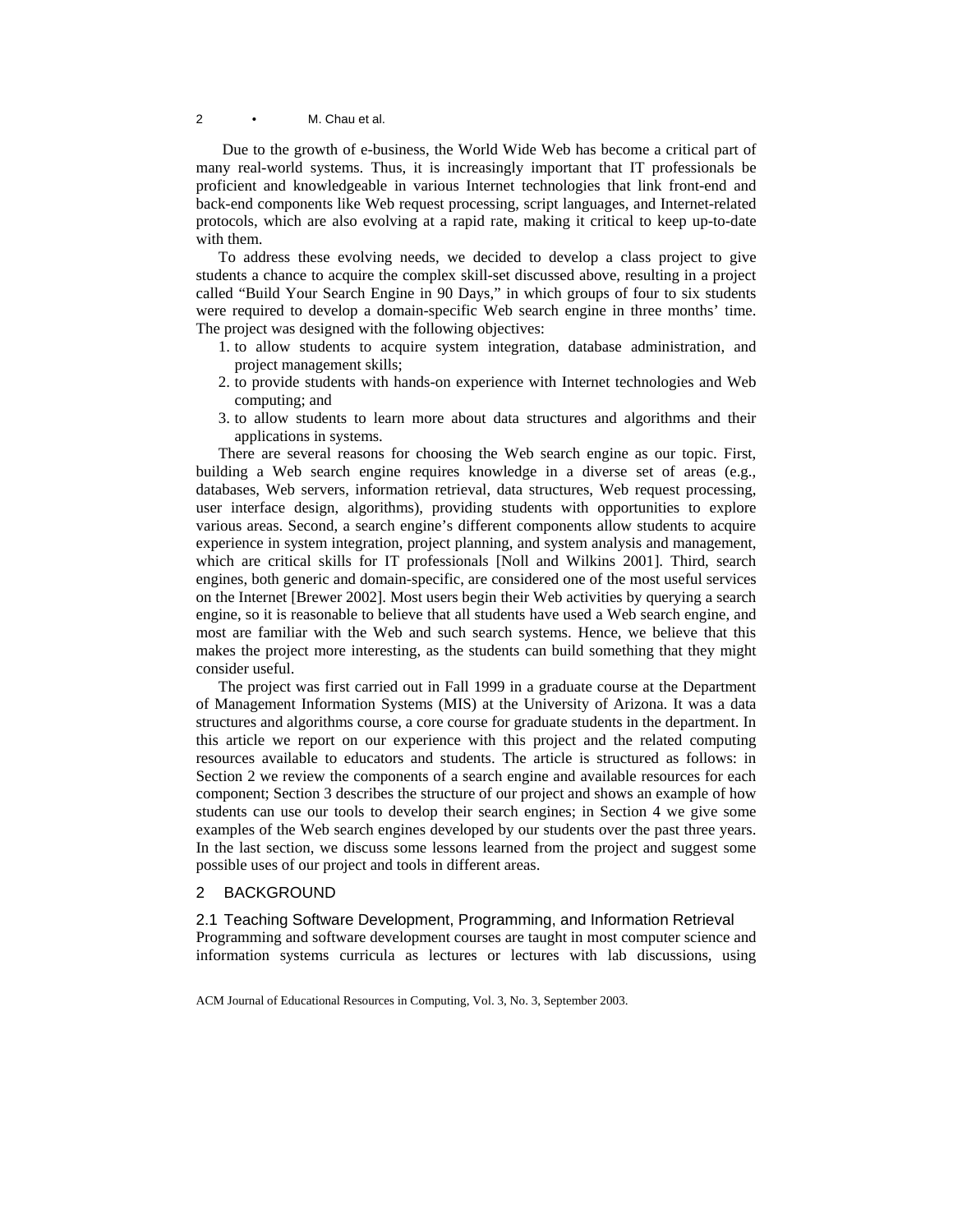Due to the growth of e-business, the World Wide Web has become a critical part of many real-world systems. Thus, it is increasingly important that IT professionals be proficient and knowledgeable in various Internet technologies that link front-end and back-end components like Web request processing, script languages, and Internet-related protocols, which are also evolving at a rapid rate, making it critical to keep up-to-date with them.

To address these evolving needs, we decided to develop a class project to give students a chance to acquire the complex skill-set discussed above, resulting in a project called "Build Your Search Engine in 90 Days," in which groups of four to six students were required to develop a domain-specific Web search engine in three months' time. The project was designed with the following objectives:

- 1. to allow students to acquire system integration, database administration, and project management skills;
- 2. to provide students with hands-on experience with Internet technologies and Web computing; and
- 3. to allow students to learn more about data structures and algorithms and their applications in systems.

There are several reasons for choosing the Web search engine as our topic. First, building a Web search engine requires knowledge in a diverse set of areas (e.g., databases, Web servers, information retrieval, data structures, Web request processing, user interface design, algorithms), providing students with opportunities to explore various areas. Second, a search engine's different components allow students to acquire experience in system integration, project planning, and system analysis and management, which are critical skills for IT professionals [Noll and Wilkins 2001]. Third, search engines, both generic and domain-specific, are considered one of the most useful services on the Internet [Brewer 2002]. Most users begin their Web activities by querying a search engine, so it is reasonable to believe that all students have used a Web search engine, and most are familiar with the Web and such search systems. Hence, we believe that this makes the project more interesting, as the students can build something that they might consider useful.

The project was first carried out in Fall 1999 in a graduate course at the Department of Management Information Systems (MIS) at the University of Arizona. It was a data structures and algorithms course, a core course for graduate students in the department. In this article we report on our experience with this project and the related computing resources available to educators and students. The article is structured as follows: in Section 2 we review the components of a search engine and available resources for each component; Section 3 describes the structure of our project and shows an example of how students can use our tools to develop their search engines; in Section 4 we give some examples of the Web search engines developed by our students over the past three years. In the last section, we discuss some lessons learned from the project and suggest some possible uses of our project and tools in different areas.

## 2 BACKGROUND

2.1 Teaching Software Development, Programming, and Information Retrieval Programming and software development courses are taught in most computer science and information systems curricula as lectures or lectures with lab discussions, using

ACM Journal of Educational Resources in Computing, Vol. 3, No. 3, September 2003.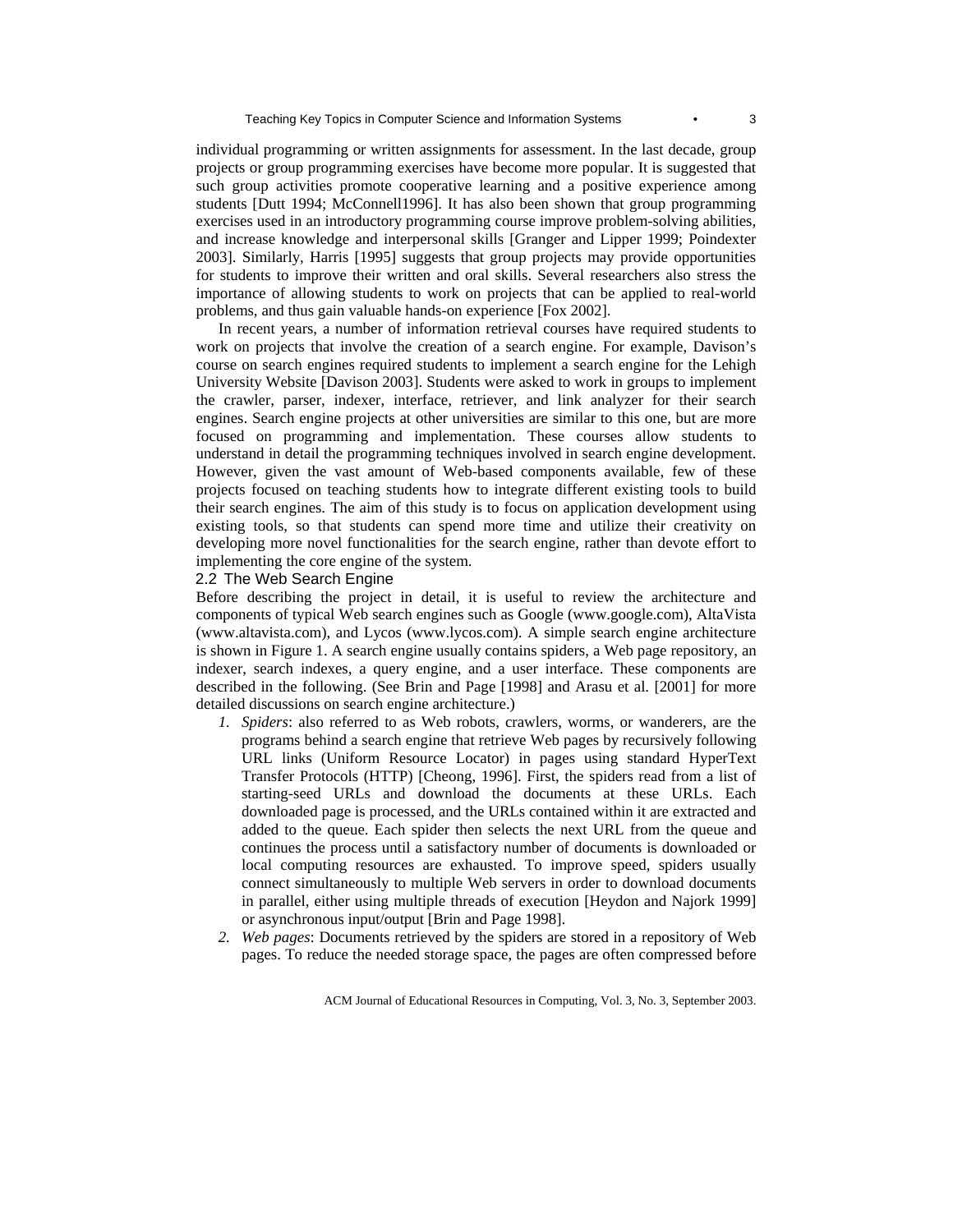individual programming or written assignments for assessment. In the last decade, group projects or group programming exercises have become more popular. It is suggested that such group activities promote cooperative learning and a positive experience among students [Dutt 1994; McConnell1996]. It has also been shown that group programming exercises used in an introductory programming course improve problem-solving abilities, and increase knowledge and interpersonal skills [Granger and Lipper 1999; Poindexter 2003]. Similarly, Harris [1995] suggests that group projects may provide opportunities for students to improve their written and oral skills. Several researchers also stress the importance of allowing students to work on projects that can be applied to real-world problems, and thus gain valuable hands-on experience [Fox 2002].

In recent years, a number of information retrieval courses have required students to work on projects that involve the creation of a search engine. For example, Davison's course on search engines required students to implement a search engine for the Lehigh University Website [Davison 2003]. Students were asked to work in groups to implement the crawler, parser, indexer, interface, retriever, and link analyzer for their search engines. Search engine projects at other universities are similar to this one, but are more focused on programming and implementation. These courses allow students to understand in detail the programming techniques involved in search engine development. However, given the vast amount of Web-based components available, few of these projects focused on teaching students how to integrate different existing tools to build their search engines. The aim of this study is to focus on application development using existing tools, so that students can spend more time and utilize their creativity on developing more novel functionalities for the search engine, rather than devote effort to implementing the core engine of the system.

## 2.2 The Web Search Engine

Before describing the project in detail, it is useful to review the architecture and components of typical Web search engines such as Google (www.google.com), AltaVista (www.altavista.com), and Lycos (www.lycos.com). A simple search engine architecture is shown in Figure 1. A search engine usually contains spiders, a Web page repository, an indexer, search indexes, a query engine, and a user interface. These components are described in the following. (See Brin and Page [1998] and Arasu et al. [2001] for more detailed discussions on search engine architecture.)

- *1. Spiders*: also referred to as Web robots, crawlers, worms, or wanderers, are the programs behind a search engine that retrieve Web pages by recursively following URL links (Uniform Resource Locator) in pages using standard HyperText Transfer Protocols (HTTP) [Cheong, 1996]. First, the spiders read from a list of starting-seed URLs and download the documents at these URLs. Each downloaded page is processed, and the URLs contained within it are extracted and added to the queue. Each spider then selects the next URL from the queue and continues the process until a satisfactory number of documents is downloaded or local computing resources are exhausted. To improve speed, spiders usually connect simultaneously to multiple Web servers in order to download documents in parallel, either using multiple threads of execution [Heydon and Najork 1999] or asynchronous input/output [Brin and Page 1998].
- *2. Web pages*: Documents retrieved by the spiders are stored in a repository of Web pages. To reduce the needed storage space, the pages are often compressed before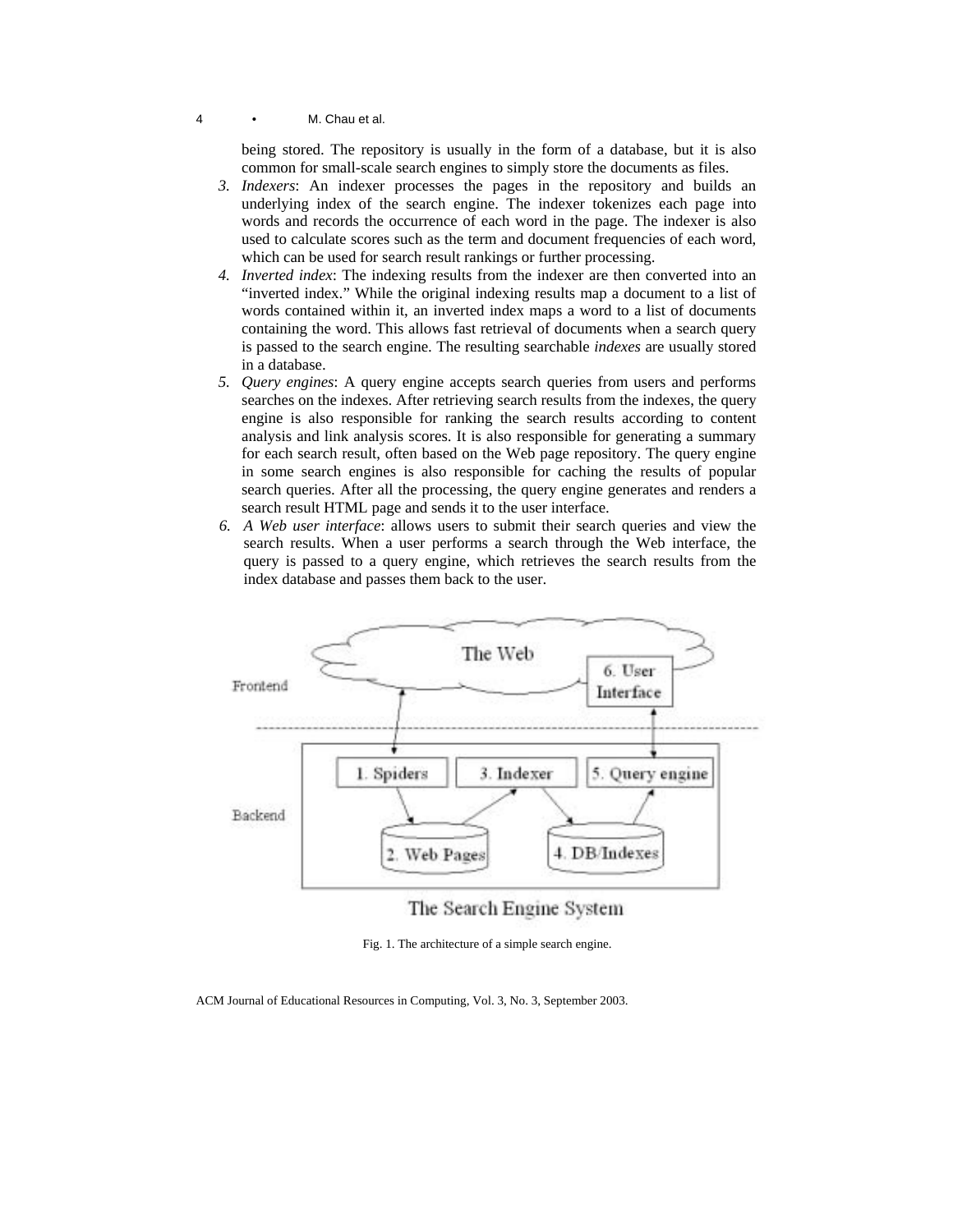being stored. The repository is usually in the form of a database, but it is also common for small-scale search engines to simply store the documents as files.

- *3. Indexers*: An indexer processes the pages in the repository and builds an underlying index of the search engine. The indexer tokenizes each page into words and records the occurrence of each word in the page. The indexer is also used to calculate scores such as the term and document frequencies of each word, which can be used for search result rankings or further processing.
- *4. Inverted index*: The indexing results from the indexer are then converted into an "inverted index." While the original indexing results map a document to a list of words contained within it, an inverted index maps a word to a list of documents containing the word. This allows fast retrieval of documents when a search query is passed to the search engine. The resulting searchable *indexes* are usually stored in a database.
- *5. Query engines*: A query engine accepts search queries from users and performs searches on the indexes. After retrieving search results from the indexes, the query engine is also responsible for ranking the search results according to content analysis and link analysis scores. It is also responsible for generating a summary for each search result, often based on the Web page repository. The query engine in some search engines is also responsible for caching the results of popular search queries. After all the processing, the query engine generates and renders a search result HTML page and sends it to the user interface.
- *6. A Web user interface*: allows users to submit their search queries and view the search results. When a user performs a search through the Web interface, the query is passed to a query engine, which retrieves the search results from the index database and passes them back to the user.



The Search Engine System

Fig. 1. The architecture of a simple search engine.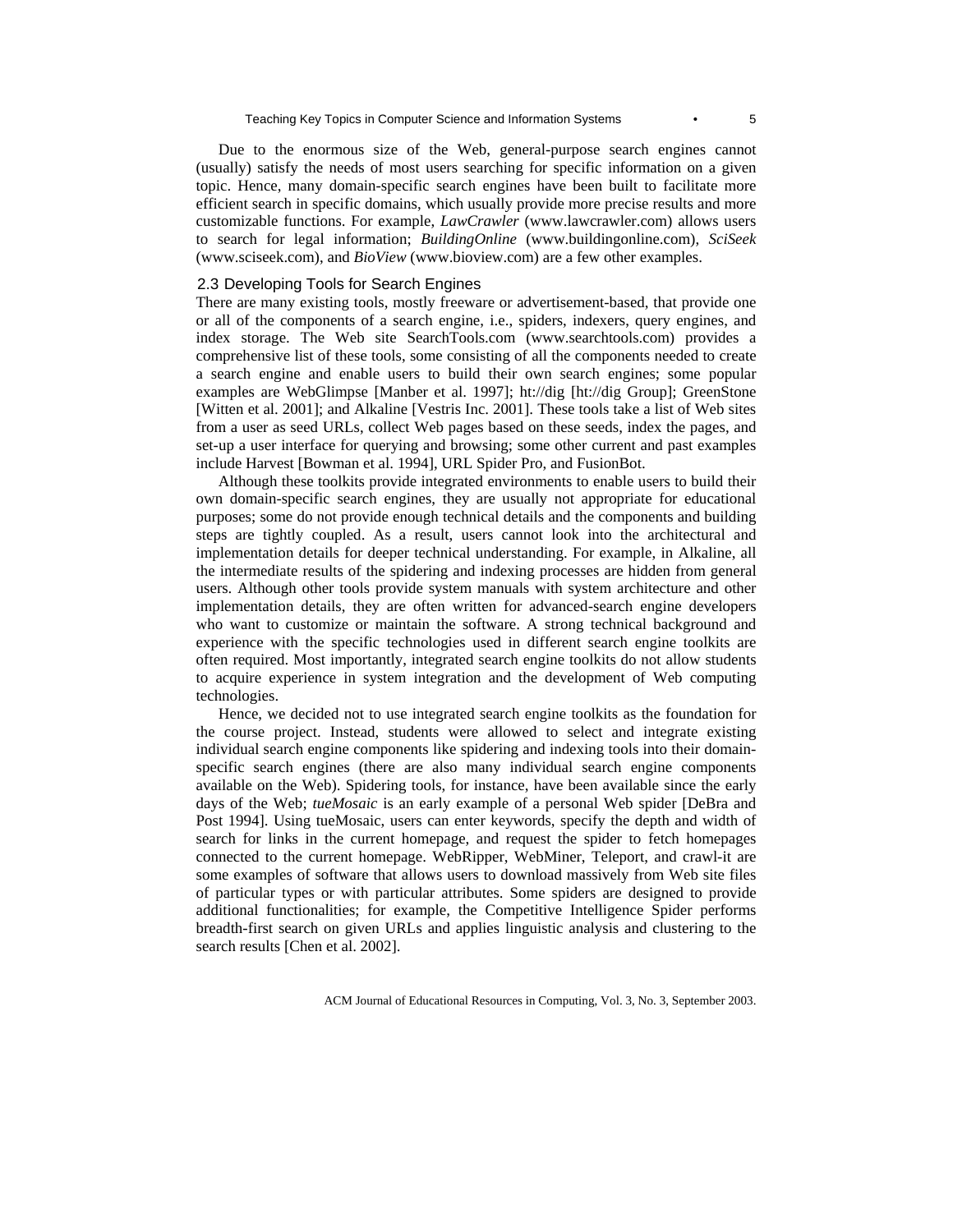Due to the enormous size of the Web, general-purpose search engines cannot (usually) satisfy the needs of most users searching for specific information on a given topic. Hence, many domain-specific search engines have been built to facilitate more efficient search in specific domains, which usually provide more precise results and more customizable functions. For example, *LawCrawler* (www.lawcrawler.com) allows users to search for legal information; *BuildingOnline* (www.buildingonline.com), *SciSeek* (www.sciseek.com), and *BioView* (www.bioview.com) are a few other examples.

## 2.3 Developing Tools for Search Engines

There are many existing tools, mostly freeware or advertisement-based, that provide one or all of the components of a search engine, i.e., spiders, indexers, query engines, and index storage. The Web site SearchTools.com (www.searchtools.com) provides a comprehensive list of these tools, some consisting of all the components needed to create a search engine and enable users to build their own search engines; some popular examples are WebGlimpse [Manber et al. 1997]; ht://dig [ht://dig Group]; GreenStone [Witten et al. 2001]; and Alkaline [Vestris Inc. 2001]. These tools take a list of Web sites from a user as seed URLs, collect Web pages based on these seeds, index the pages, and set-up a user interface for querying and browsing; some other current and past examples include Harvest [Bowman et al. 1994], URL Spider Pro, and FusionBot.

Although these toolkits provide integrated environments to enable users to build their own domain-specific search engines, they are usually not appropriate for educational purposes; some do not provide enough technical details and the components and building steps are tightly coupled. As a result, users cannot look into the architectural and implementation details for deeper technical understanding. For example, in Alkaline, all the intermediate results of the spidering and indexing processes are hidden from general users. Although other tools provide system manuals with system architecture and other implementation details, they are often written for advanced-search engine developers who want to customize or maintain the software. A strong technical background and experience with the specific technologies used in different search engine toolkits are often required. Most importantly, integrated search engine toolkits do not allow students to acquire experience in system integration and the development of Web computing technologies.

Hence, we decided not to use integrated search engine toolkits as the foundation for the course project. Instead, students were allowed to select and integrate existing individual search engine components like spidering and indexing tools into their domainspecific search engines (there are also many individual search engine components available on the Web). Spidering tools, for instance, have been available since the early days of the Web; *tueMosaic* is an early example of a personal Web spider [DeBra and Post 1994]. Using tueMosaic, users can enter keywords, specify the depth and width of search for links in the current homepage, and request the spider to fetch homepages connected to the current homepage. WebRipper, WebMiner, Teleport, and crawl-it are some examples of software that allows users to download massively from Web site files of particular types or with particular attributes. Some spiders are designed to provide additional functionalities; for example, the Competitive Intelligence Spider performs breadth-first search on given URLs and applies linguistic analysis and clustering to the search results [Chen et al. 2002].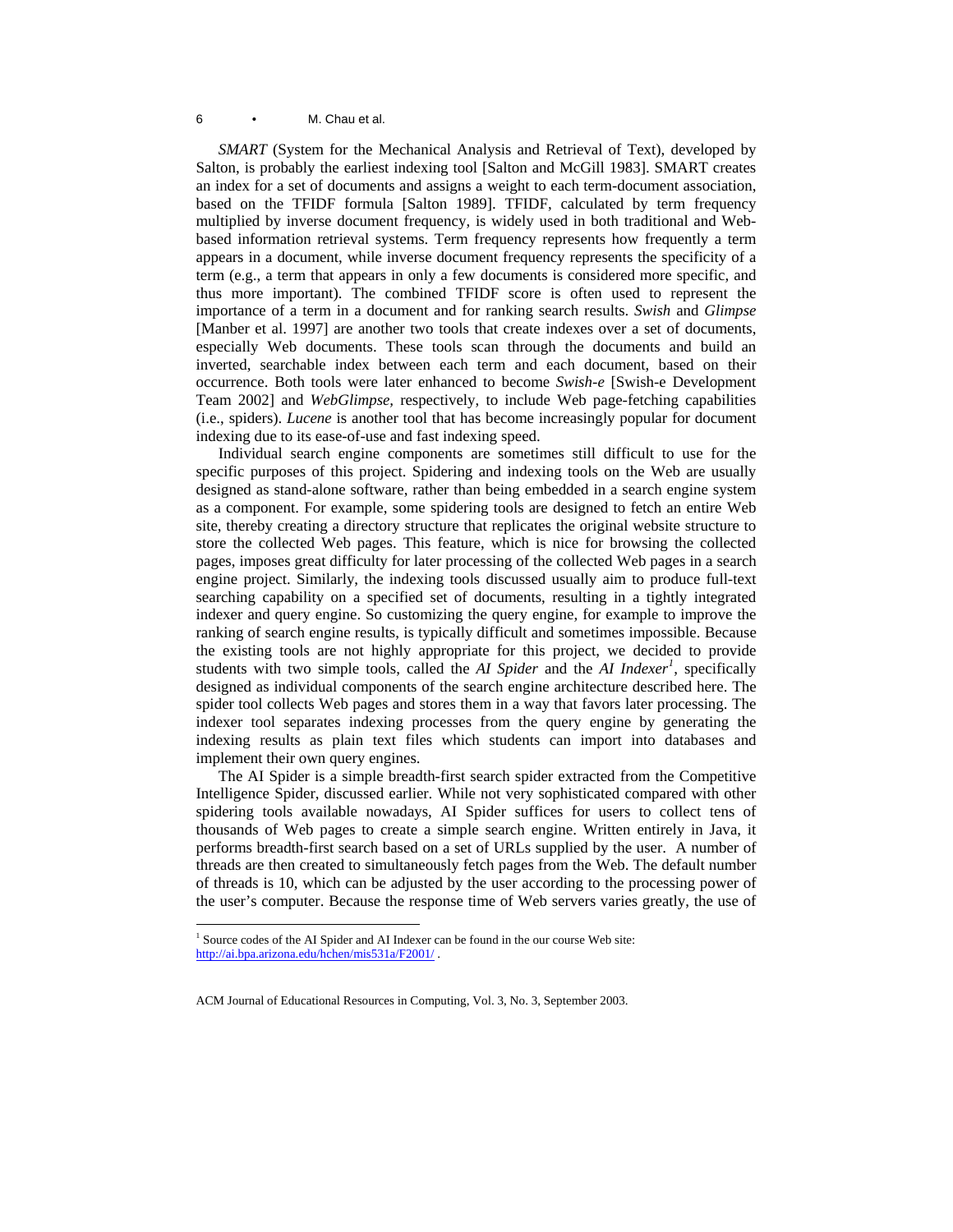*SMART* (System for the Mechanical Analysis and Retrieval of Text), developed by Salton, is probably the earliest indexing tool [Salton and McGill 1983]. SMART creates an index for a set of documents and assigns a weight to each term-document association, based on the TFIDF formula [Salton 1989]. TFIDF, calculated by term frequency multiplied by inverse document frequency, is widely used in both traditional and Webbased information retrieval systems. Term frequency represents how frequently a term appears in a document, while inverse document frequency represents the specificity of a term (e.g., a term that appears in only a few documents is considered more specific, and thus more important). The combined TFIDF score is often used to represent the importance of a term in a document and for ranking search results. *Swish* and *Glimpse* [Manber et al. 1997] are another two tools that create indexes over a set of documents, especially Web documents. These tools scan through the documents and build an inverted, searchable index between each term and each document, based on their occurrence. Both tools were later enhanced to become *Swish-e* [Swish-e Development Team 2002] and *WebGlimpse,* respectively, to include Web page-fetching capabilities (i.e., spiders). *Lucene* is another tool that has become increasingly popular for document indexing due to its ease-of-use and fast indexing speed.

Individual search engine components are sometimes still difficult to use for the specific purposes of this project. Spidering and indexing tools on the Web are usually designed as stand-alone software, rather than being embedded in a search engine system as a component. For example, some spidering tools are designed to fetch an entire Web site, thereby creating a directory structure that replicates the original website structure to store the collected Web pages. This feature, which is nice for browsing the collected pages, imposes great difficulty for later processing of the collected Web pages in a search engine project. Similarly, the indexing tools discussed usually aim to produce full-text searching capability on a specified set of documents, resulting in a tightly integrated indexer and query engine. So customizing the query engine, for example to improve the ranking of search engine results, is typically difficult and sometimes impossible. Because the existing tools are not highly appropriate for this project, we decided to provide students with two simple tools, called the *AI Spider* and the *AI Indexer<sup>1</sup>* , specifically designed as individual components of the search engine architecture described here. The spider tool collects Web pages and stores them in a way that favors later processing. The indexer tool separates indexing processes from the query engine by generating the indexing results as plain text files which students can import into databases and implement their own query engines.

The AI Spider is a simple breadth-first search spider extracted from the Competitive Intelligence Spider, discussed earlier. While not very sophisticated compared with other spidering tools available nowadays, AI Spider suffices for users to collect tens of thousands of Web pages to create a simple search engine. Written entirely in Java, it performs breadth-first search based on a set of URLs supplied by the user. A number of threads are then created to simultaneously fetch pages from the Web. The default number of threads is 10, which can be adjusted by the user according to the processing power of the user's computer. Because the response time of Web servers varies greatly, the use of

 $\overline{a}$ 

 $<sup>1</sup>$  Source codes of the AI Spider and AI Indexer can be found in the our course Web site:</sup> http://ai.bpa.arizona.edu/hchen/mis531a/F2001/ .

ACM Journal of Educational Resources in Computing, Vol. 3, No. 3, September 2003.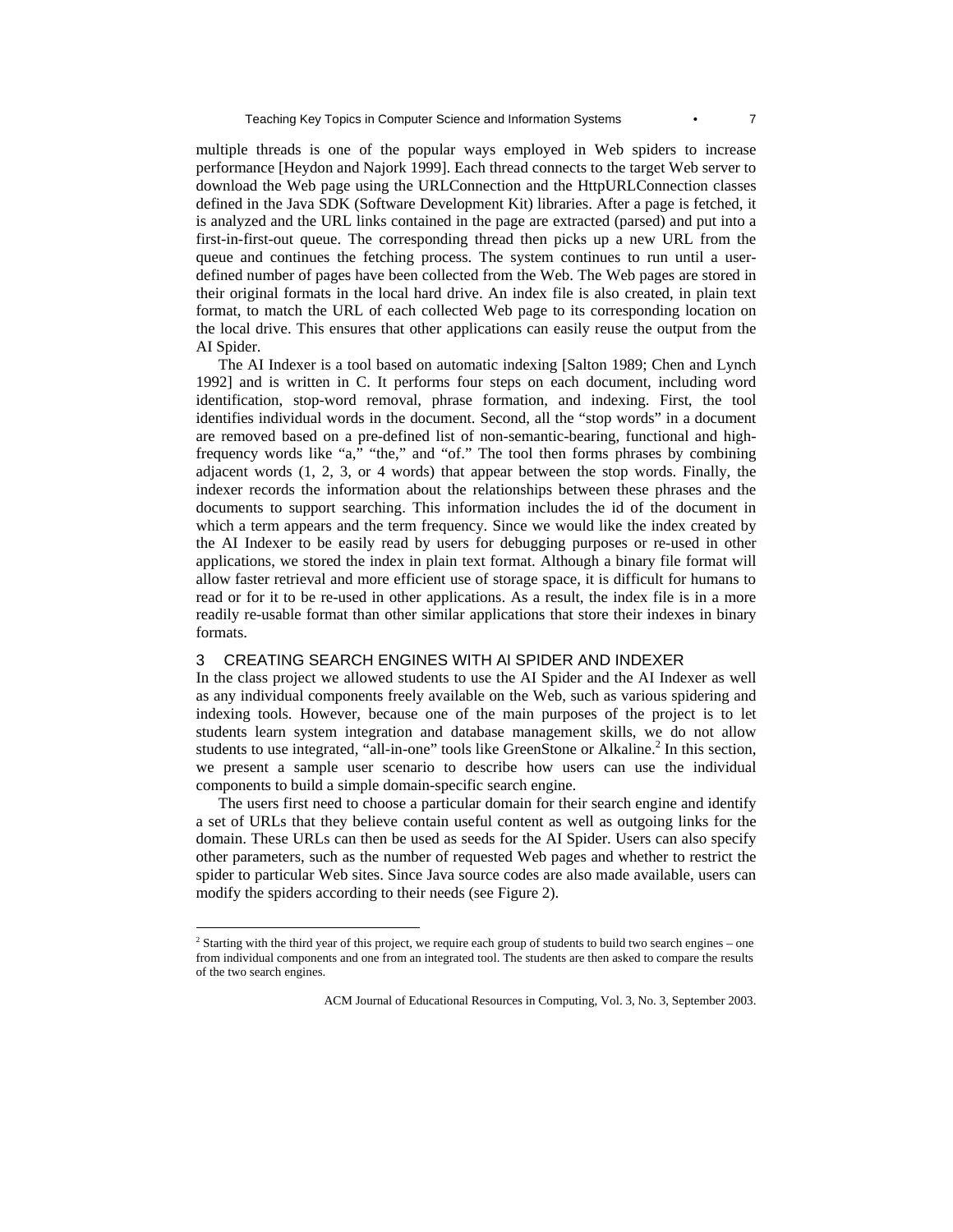multiple threads is one of the popular ways employed in Web spiders to increase performance [Heydon and Najork 1999]. Each thread connects to the target Web server to download the Web page using the URLConnection and the HttpURLConnection classes defined in the Java SDK (Software Development Kit) libraries. After a page is fetched, it is analyzed and the URL links contained in the page are extracted (parsed) and put into a first-in-first-out queue. The corresponding thread then picks up a new URL from the queue and continues the fetching process. The system continues to run until a userdefined number of pages have been collected from the Web. The Web pages are stored in their original formats in the local hard drive. An index file is also created, in plain text format, to match the URL of each collected Web page to its corresponding location on the local drive. This ensures that other applications can easily reuse the output from the AI Spider.

The AI Indexer is a tool based on automatic indexing [Salton 1989; Chen and Lynch 1992] and is written in C. It performs four steps on each document, including word identification, stop-word removal, phrase formation, and indexing. First, the tool identifies individual words in the document. Second, all the "stop words" in a document are removed based on a pre-defined list of non-semantic-bearing, functional and highfrequency words like "a," "the," and "of." The tool then forms phrases by combining adjacent words (1, 2, 3, or 4 words) that appear between the stop words. Finally, the indexer records the information about the relationships between these phrases and the documents to support searching. This information includes the id of the document in which a term appears and the term frequency. Since we would like the index created by the AI Indexer to be easily read by users for debugging purposes or re-used in other applications, we stored the index in plain text format. Although a binary file format will allow faster retrieval and more efficient use of storage space, it is difficult for humans to read or for it to be re-used in other applications. As a result, the index file is in a more readily re-usable format than other similar applications that store their indexes in binary formats.

## 3 CREATING SEARCH ENGINES WITH AI SPIDER AND INDEXER

In the class project we allowed students to use the AI Spider and the AI Indexer as well as any individual components freely available on the Web, such as various spidering and indexing tools. However, because one of the main purposes of the project is to let students learn system integration and database management skills, we do not allow students to use integrated, "all-in-one" tools like GreenStone or Alkaline.<sup>2</sup> In this section, we present a sample user scenario to describe how users can use the individual components to build a simple domain-specific search engine.

The users first need to choose a particular domain for their search engine and identify a set of URLs that they believe contain useful content as well as outgoing links for the domain. These URLs can then be used as seeds for the AI Spider. Users can also specify other parameters, such as the number of requested Web pages and whether to restrict the spider to particular Web sites. Since Java source codes are also made available, users can modify the spiders according to their needs (see Figure 2).

 $\overline{a}$ 

<sup>&</sup>lt;sup>2</sup> Starting with the third year of this project, we require each group of students to build two search engines – one from individual components and one from an integrated tool. The students are then asked to compare the results of the two search engines.

ACM Journal of Educational Resources in Computing, Vol. 3, No. 3, September 2003.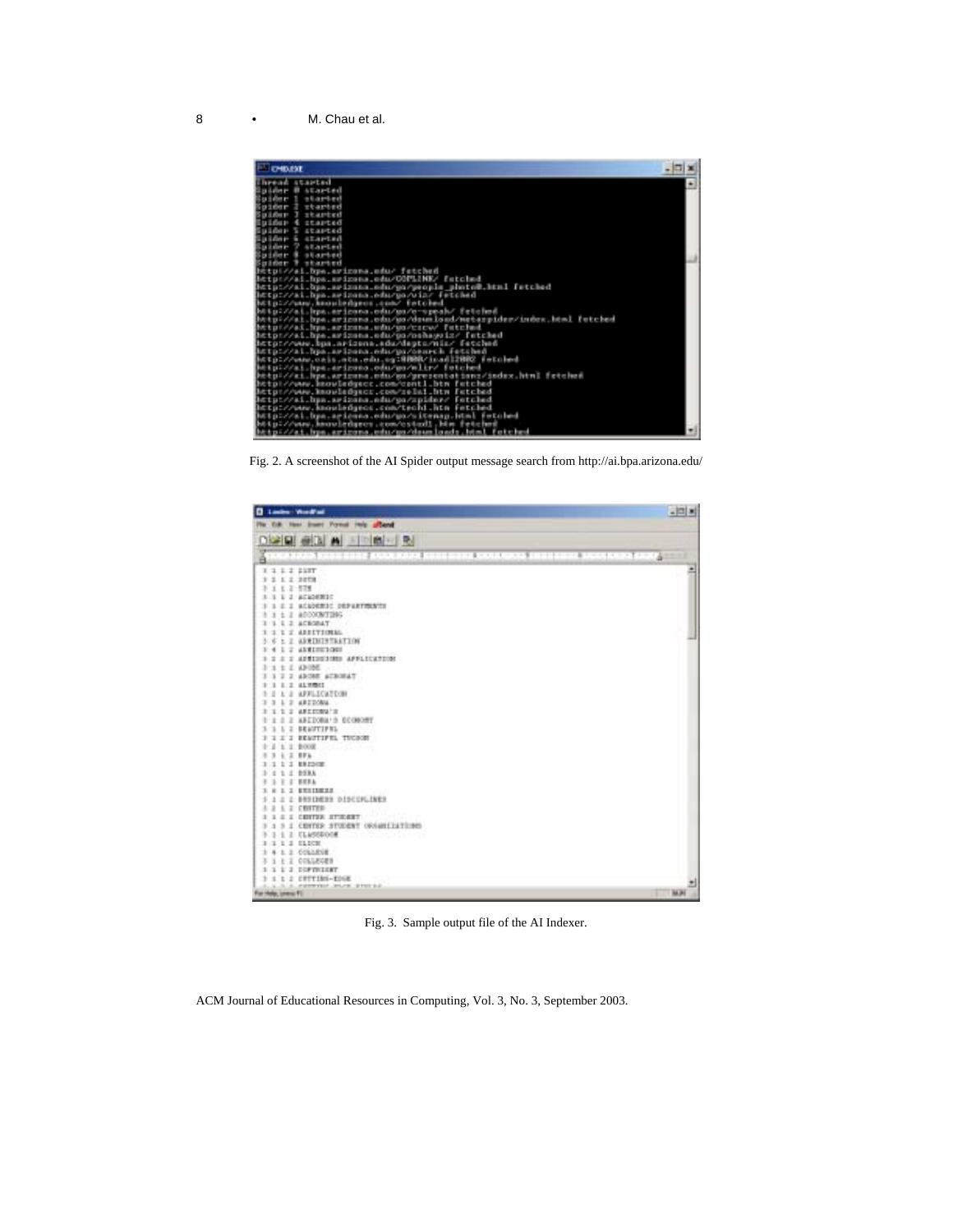

Fig. 2. A screenshot of the AI Spider output message search from http://ai.bpa.arizona.edu/

| Links Work's                                                | <b>국민화</b>    |
|-------------------------------------------------------------|---------------|
| For C.R. Form Street Provid Help affixed                    |               |
| DISCE GRAIN SPIEL &                                         |               |
|                                                             |               |
| <b>ARCHIVES ANTIQUES AND REAL MINIMUM CONCORD INTERFERI</b> | 计双元元件 计不置口计不离 |
| 1111111                                                     | ٨             |
| 3 1 1 2 2078                                                |               |
| 1 4 2 578                                                   |               |
| 1 1 2 ACADEMIC                                              |               |
| 2.2 ACADEMIC DEPARTMENTS                                    |               |
| 1 I ADDOCKTING                                              |               |
| I I ACROBAT                                                 |               |
| L J ARRIVIIMAL                                              |               |
| 3 6 1 2 ADEDITERATION                                       |               |
| L 2 ANNIBURGER<br>3.4                                       |               |
| I I AUSTRIANSE APPLICATION                                  |               |
| 1 L ANDE                                                    |               |
| T I ADORE ACROSST                                           |               |
| 1 2 817/011                                                 |               |
| L 2 AFFLICATION                                             |               |
| 1 7 ARTICAN                                                 |               |
| 1 2 AREESWAYS                                               |               |
| I I AREDONA'S ECORONY                                       |               |
| L 2 BEATTIFEL                                               |               |
| I I BEAUTIFEL TUCKER                                        |               |
|                                                             |               |
| <b>LIFE</b>                                                 |               |
| 1 1 1 ERESUE                                                |               |
| 1 2 193A                                                    |               |
| I J BEEA                                                    |               |
|                                                             |               |
| A & BRNINGHA DISCOVLINES                                    |               |
| L 2 CRITER                                                  |               |
| I I CRITIX IT/ESST                                          |               |
| I COTTLE STUDENT OVAIRLEATIONS                              |               |
| 1 2 CLASSROOM COMMUNICATIONS                                |               |
| 1 2 SLDCH                                                   |               |
| 1. 2. COLLEGE                                               |               |
| E 2 COLLEGES                                                |               |
| L 2 DOPTRIERT                                               |               |
| t i cerriba-roug                                            |               |
| FREEDLAND ROOM RESERVED                                     | 84,94         |
| For Help, Lewis Fill                                        |               |

Fig. 3. Sample output file of the AI Indexer.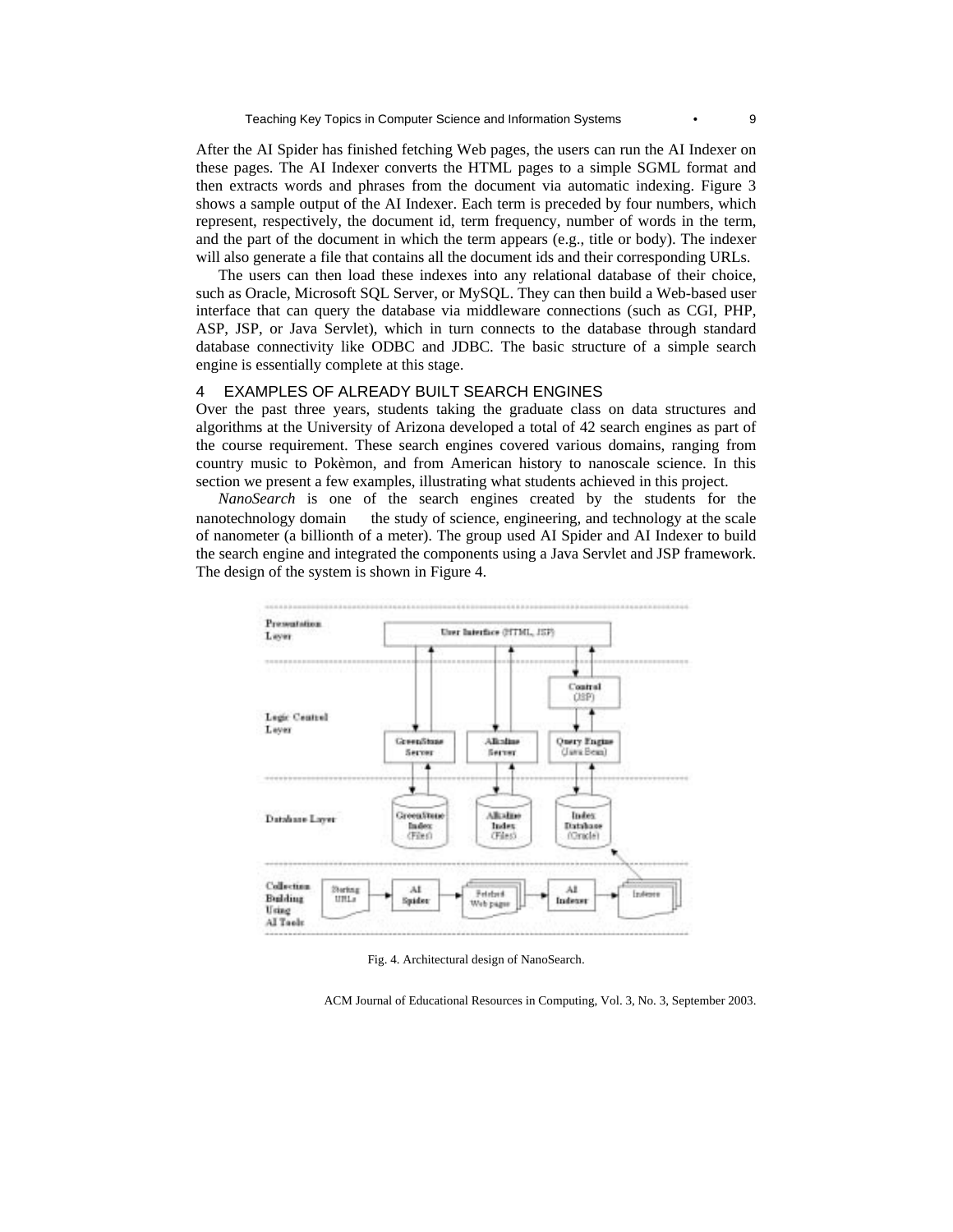After the AI Spider has finished fetching Web pages, the users can run the AI Indexer on these pages. The AI Indexer converts the HTML pages to a simple SGML format and then extracts words and phrases from the document via automatic indexing. Figure 3 shows a sample output of the AI Indexer. Each term is preceded by four numbers, which represent, respectively, the document id, term frequency, number of words in the term, and the part of the document in which the term appears (e.g., title or body). The indexer will also generate a file that contains all the document ids and their corresponding URLs.

The users can then load these indexes into any relational database of their choice, such as Oracle, Microsoft SQL Server, or MySQL. They can then build a Web-based user interface that can query the database via middleware connections (such as CGI, PHP, ASP, JSP, or Java Servlet), which in turn connects to the database through standard database connectivity like ODBC and JDBC. The basic structure of a simple search engine is essentially complete at this stage.

## 4 EXAMPLES OF ALREADY BUILT SEARCH ENGINES

Over the past three years, students taking the graduate class on data structures and algorithms at the University of Arizona developed a total of 42 search engines as part of the course requirement. These search engines covered various domains, ranging from country music to Pokèmon, and from American history to nanoscale science. In this section we present a few examples, illustrating what students achieved in this project.

*NanoSearch* is one of the search engines created by the students for the nanotechnology domain — the study of science, engineering, and technology at the scale of nanometer (a billionth of a meter). The group used AI Spider and AI Indexer to build the search engine and integrated the components using a Java Servlet and JSP framework. The design of the system is shown in Figure 4.



Fig. 4. Architectural design of NanoSearch.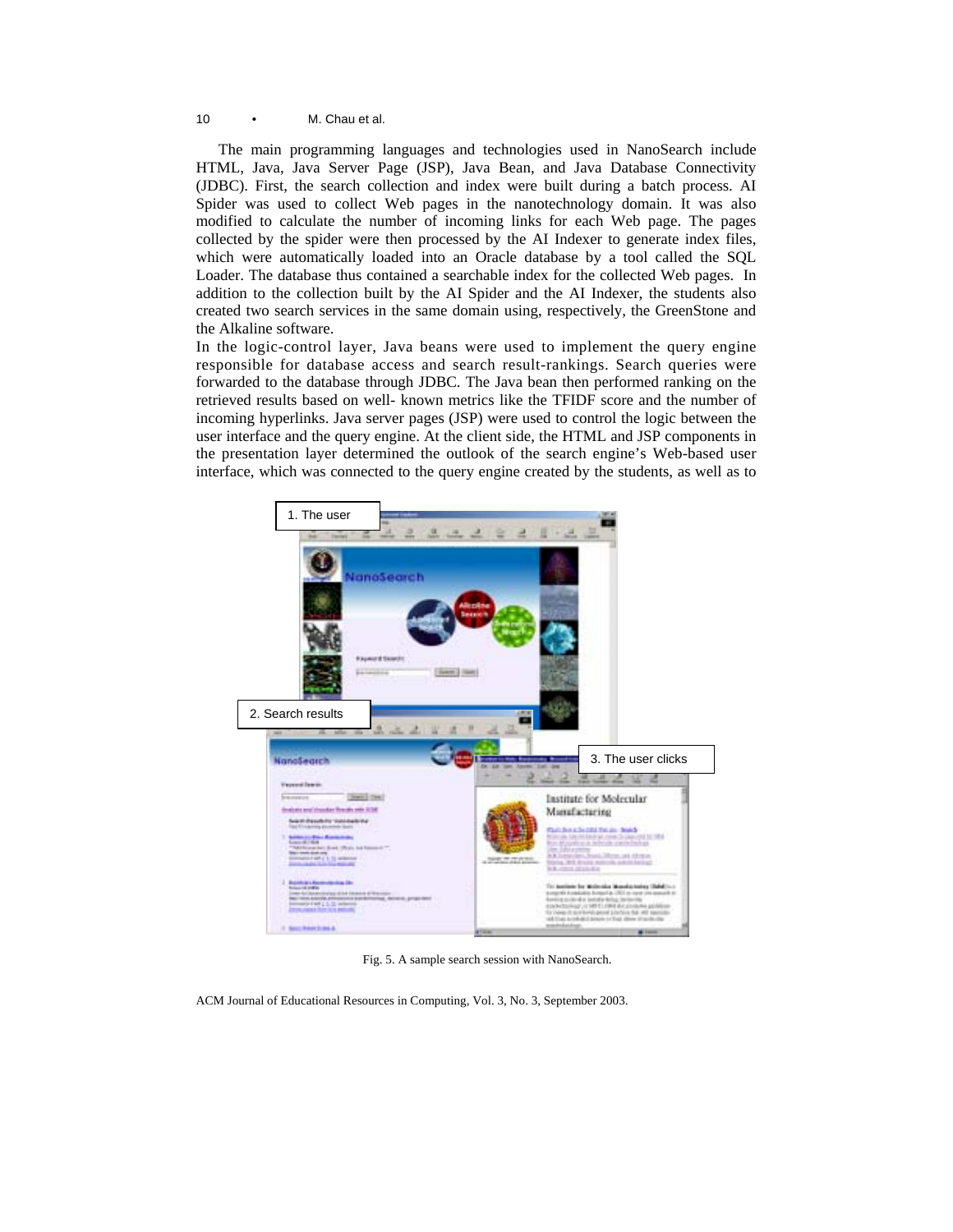The main programming languages and technologies used in NanoSearch include HTML, Java, Java Server Page (JSP), Java Bean, and Java Database Connectivity (JDBC). First, the search collection and index were built during a batch process. AI Spider was used to collect Web pages in the nanotechnology domain. It was also modified to calculate the number of incoming links for each Web page. The pages collected by the spider were then processed by the AI Indexer to generate index files, which were automatically loaded into an Oracle database by a tool called the SQL Loader. The database thus contained a searchable index for the collected Web pages. In addition to the collection built by the AI Spider and the AI Indexer, the students also created two search services in the same domain using, respectively, the GreenStone and the Alkaline software.

In the logic-control layer, Java beans were used to implement the query engine responsible for database access and search result-rankings. Search queries were forwarded to the database through JDBC. The Java bean then performed ranking on the retrieved results based on well- known metrics like the TFIDF score and the number of incoming hyperlinks. Java server pages (JSP) were used to control the logic between the user interface and the query engine. At the client side, the HTML and JSP components in the presentation layer determined the outlook of the search engine's Web-based user interface, which was connected to the query engine created by the students, as well as to



Fig. 5. A sample search session with NanoSearch.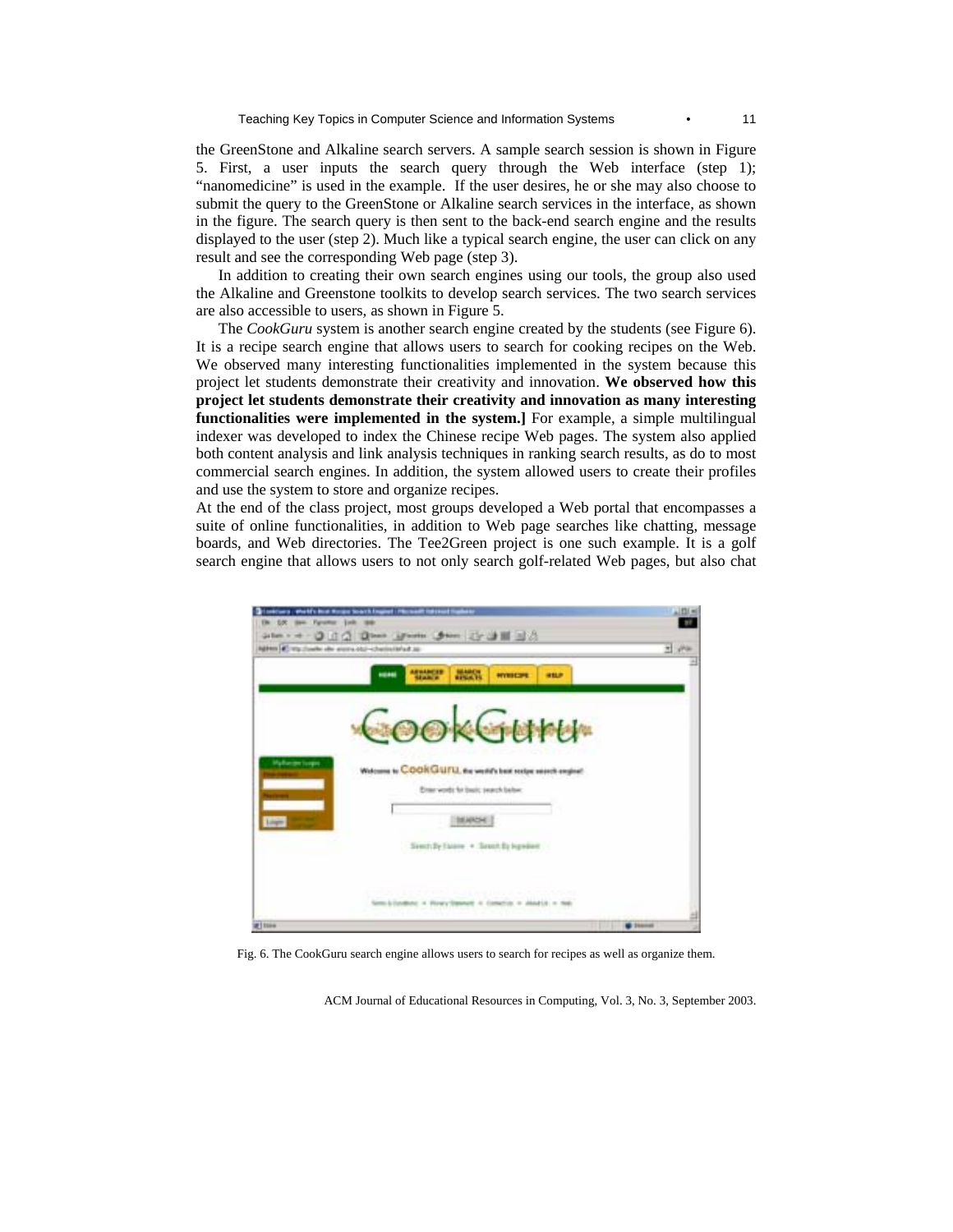the GreenStone and Alkaline search servers. A sample search session is shown in Figure 5. First, a user inputs the search query through the Web interface (step 1); "nanomedicine" is used in the example. If the user desires, he or she may also choose to submit the query to the GreenStone or Alkaline search services in the interface, as shown in the figure. The search query is then sent to the back-end search engine and the results displayed to the user (step 2). Much like a typical search engine, the user can click on any result and see the corresponding Web page (step 3).

In addition to creating their own search engines using our tools, the group also used the Alkaline and Greenstone toolkits to develop search services. The two search services are also accessible to users, as shown in Figure 5.

The *CookGuru* system is another search engine created by the students (see Figure 6). It is a recipe search engine that allows users to search for cooking recipes on the Web. We observed many interesting functionalities implemented in the system because this project let students demonstrate their creativity and innovation. **We observed how this project let students demonstrate their creativity and innovation as many interesting functionalities were implemented in the system.]** For example, a simple multilingual indexer was developed to index the Chinese recipe Web pages. The system also applied both content analysis and link analysis techniques in ranking search results, as do to most commercial search engines. In addition, the system allowed users to create their profiles and use the system to store and organize recipes.

At the end of the class project, most groups developed a Web portal that encompasses a suite of online functionalities, in addition to Web page searches like chatting, message boards, and Web directories. The Tee2Green project is one such example. It is a golf search engine that allows users to not only search golf-related Web pages, but also chat



Fig. 6. The CookGuru search engine allows users to search for recipes as well as organize them.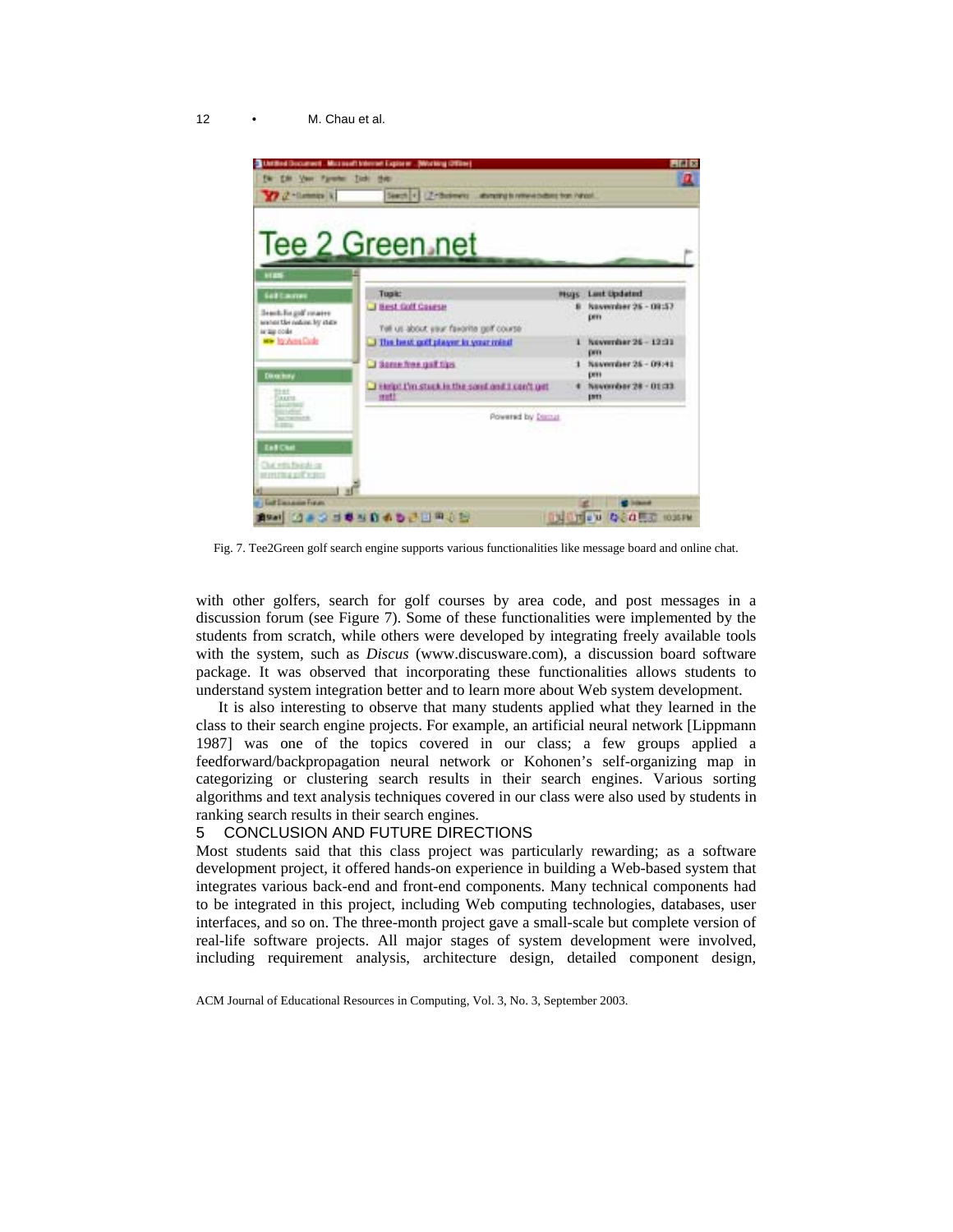

Fig. 7. Tee2Green golf search engine supports various functionalities like message board and online chat.

with other golfers, search for golf courses by area code, and post messages in a discussion forum (see Figure 7). Some of these functionalities were implemented by the students from scratch, while others were developed by integrating freely available tools with the system, such as *Discus* (www.discusware.com), a discussion board software package. It was observed that incorporating these functionalities allows students to understand system integration better and to learn more about Web system development.

It is also interesting to observe that many students applied what they learned in the class to their search engine projects. For example, an artificial neural network [Lippmann 1987] was one of the topics covered in our class; a few groups applied a feedforward/backpropagation neural network or Kohonen's self-organizing map in categorizing or clustering search results in their search engines. Various sorting algorithms and text analysis techniques covered in our class were also used by students in ranking search results in their search engines.

#### 5 CONCLUSION AND FUTURE DIRECTIONS

Most students said that this class project was particularly rewarding; as a software development project, it offered hands-on experience in building a Web-based system that integrates various back-end and front-end components. Many technical components had to be integrated in this project, including Web computing technologies, databases, user interfaces, and so on. The three-month project gave a small-scale but complete version of real-life software projects. All major stages of system development were involved, including requirement analysis, architecture design, detailed component design,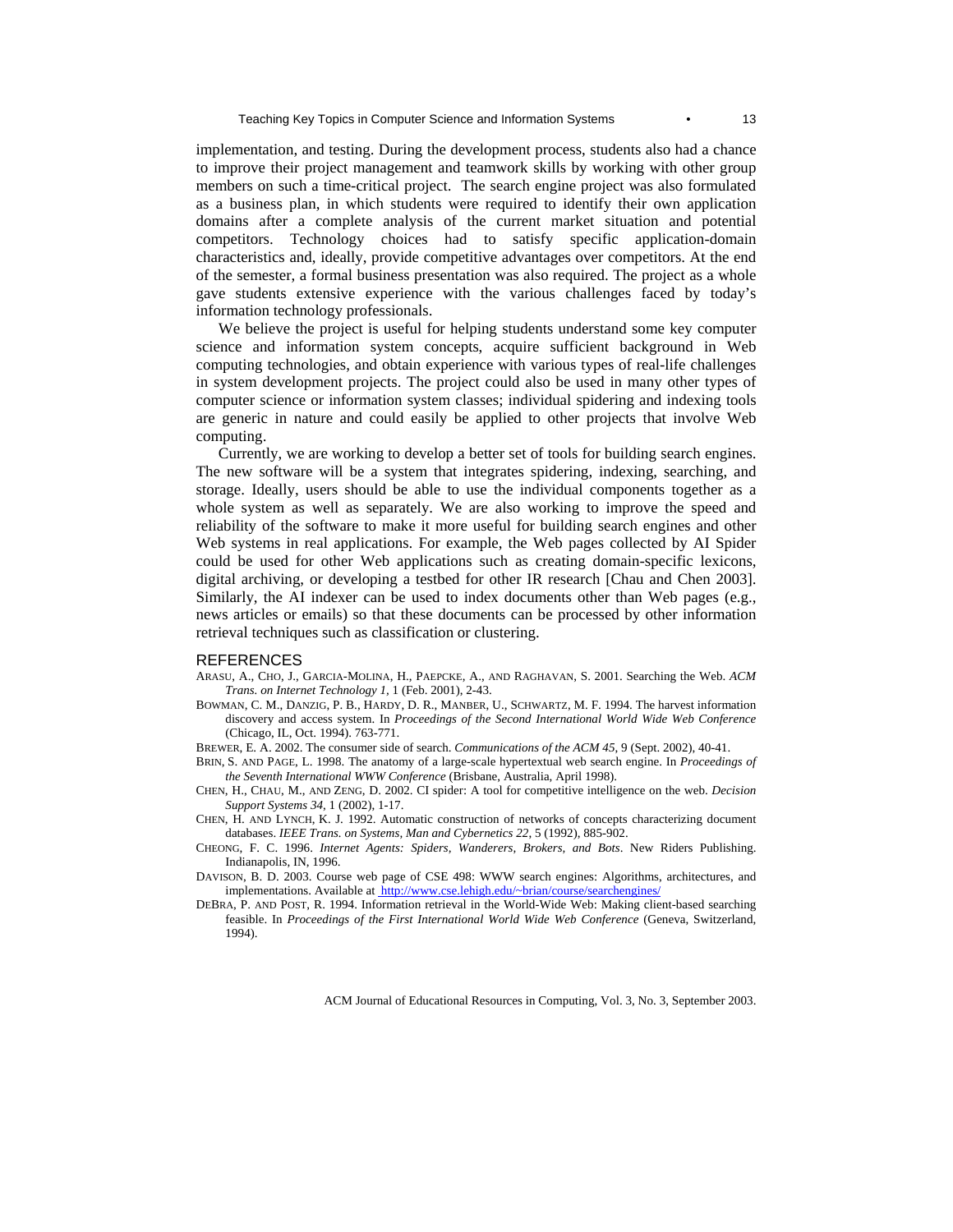implementation, and testing. During the development process, students also had a chance to improve their project management and teamwork skills by working with other group members on such a time-critical project. The search engine project was also formulated as a business plan, in which students were required to identify their own application domains after a complete analysis of the current market situation and potential competitors. Technology choices had to satisfy specific application-domain characteristics and, ideally, provide competitive advantages over competitors. At the end of the semester, a formal business presentation was also required. The project as a whole gave students extensive experience with the various challenges faced by today's information technology professionals.

We believe the project is useful for helping students understand some key computer science and information system concepts, acquire sufficient background in Web computing technologies, and obtain experience with various types of real-life challenges in system development projects. The project could also be used in many other types of computer science or information system classes; individual spidering and indexing tools are generic in nature and could easily be applied to other projects that involve Web computing.

Currently, we are working to develop a better set of tools for building search engines. The new software will be a system that integrates spidering, indexing, searching, and storage. Ideally, users should be able to use the individual components together as a whole system as well as separately. We are also working to improve the speed and reliability of the software to make it more useful for building search engines and other Web systems in real applications. For example, the Web pages collected by AI Spider could be used for other Web applications such as creating domain-specific lexicons, digital archiving, or developing a testbed for other IR research [Chau and Chen 2003]. Similarly, the AI indexer can be used to index documents other than Web pages (e.g., news articles or emails) so that these documents can be processed by other information retrieval techniques such as classification or clustering.

#### REFERENCES

- ARASU, A., CHO, J., GARCIA-MOLINA, H., PAEPCKE, A., AND RAGHAVAN, S. 2001. Searching the Web. *ACM Trans. on Internet Technology 1,* 1 (Feb. 2001), 2-43.
- BOWMAN, C. M., DANZIG, P. B., HARDY, D. R., MANBER, U., SCHWARTZ, M. F. 1994. The harvest information discovery and access system. In *Proceedings of the Second International World Wide Web Conference*  (Chicago, IL, Oct. 1994). 763-771.
- BREWER, E. A. 2002. The consumer side of search. *Communications of the ACM 45*, 9 (Sept. 2002), 40-41.
- BRIN, S. AND PAGE, L. 1998. The anatomy of a large-scale hypertextual web search engine. In *Proceedings of the Seventh International WWW Conference* (Brisbane, Australia, April 1998).
- CHEN, H., CHAU, M., AND ZENG, D. 2002. CI spider: A tool for competitive intelligence on the web. *Decision Support Systems 34*, 1 (2002), 1-17.
- CHEN, H. AND LYNCH, K. J. 1992. Automatic construction of networks of concepts characterizing document databases. *IEEE Trans. on Systems, Man and Cybernetics 22*, 5 (1992), 885-902.
- CHEONG, F. C. 1996. *Internet Agents: Spiders, Wanderers, Brokers, and Bots*. New Riders Publishing. Indianapolis, IN, 1996.
- DAVISON, B. D. 2003. Course web page of CSE 498: WWW search engines: Algorithms, architectures, and implementations. Available at http://www.cse.lehigh.edu/~brian/course/searchengines/
- DEBRA, P. AND POST, R. 1994. Information retrieval in the World-Wide Web: Making client-based searching feasible. In *Proceedings of the First International World Wide Web Conference* (Geneva, Switzerland, 1994).